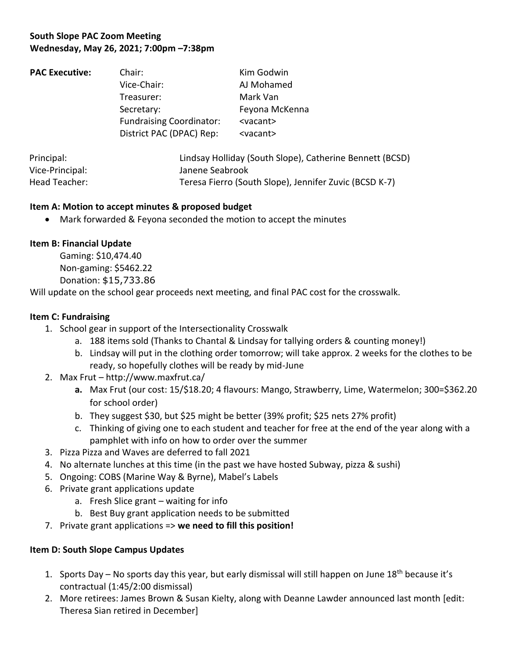# **South Slope PAC Zoom Meeting Wednesday, May 26, 2021; 7:00pm –7:38pm**

| <b>PAC Executive:</b> | Chair:                                                                     | Kim Godwin                                                    |                          |                                                          |  |
|-----------------------|----------------------------------------------------------------------------|---------------------------------------------------------------|--------------------------|----------------------------------------------------------|--|
|                       | Vice-Chair:<br>Treasurer:<br>Secretary:<br><b>Fundraising Coordinator:</b> | AJ Mohamed<br>Mark Van<br>Feyona McKenna<br><vacant></vacant> |                          |                                                          |  |
|                       |                                                                            |                                                               | District PAC (DPAC) Rep: | <vacant></vacant>                                        |  |
|                       |                                                                            |                                                               | Principal:               | Lindsay Holliday (South Slope), Catherine Bennett (BCSD) |  |
|                       |                                                                            |                                                               | Vice-Principal:          | Janene Seabrook                                          |  |

# Head Teacher: Teresa Fierro (South Slope), Jennifer Zuvic (BCSD K-7)

#### **Item A: Motion to accept minutes & proposed budget**

• Mark forwarded & Feyona seconded the motion to accept the minutes

## **Item B: Financial Update**

Gaming: \$10,474.40 Non-gaming: \$5462.22 Donation: \$15,733.86

Will update on the school gear proceeds next meeting, and final PAC cost for the crosswalk.

#### **Item C: Fundraising**

- 1. School gear in support of the Intersectionality Crosswalk
	- a. 188 items sold (Thanks to Chantal & Lindsay for tallying orders & counting money!)
	- b. Lindsay will put in the clothing order tomorrow; will take approx. 2 weeks for the clothes to be ready, so hopefully clothes will be ready by mid-June
- 2. Max Frut http://www.maxfrut.ca/
	- **a.** Max Frut (our cost: 15/\$18.20; 4 flavours: Mango, Strawberry, Lime, Watermelon; 300=\$362.20 for school order)
	- b. They suggest \$30, but \$25 might be better (39% profit; \$25 nets 27% profit)
	- c. Thinking of giving one to each student and teacher for free at the end of the year along with a pamphlet with info on how to order over the summer
- 3. Pizza Pizza and Waves are deferred to fall 2021
- 4. No alternate lunches at this time (in the past we have hosted Subway, pizza & sushi)
- 5. Ongoing: COBS (Marine Way & Byrne), Mabel's Labels
- 6. Private grant applications update
	- a. Fresh Slice grant waiting for info
	- b. Best Buy grant application needs to be submitted
- 7. Private grant applications => **we need to fill this position!**

## **Item D: South Slope Campus Updates**

- 1. Sports Day No sports day this year, but early dismissal will still happen on June 18<sup>th</sup> because it's contractual (1:45/2:00 dismissal)
- 2. More retirees: James Brown & Susan Kielty, along with Deanne Lawder announced last month [edit: Theresa Sian retired in December]